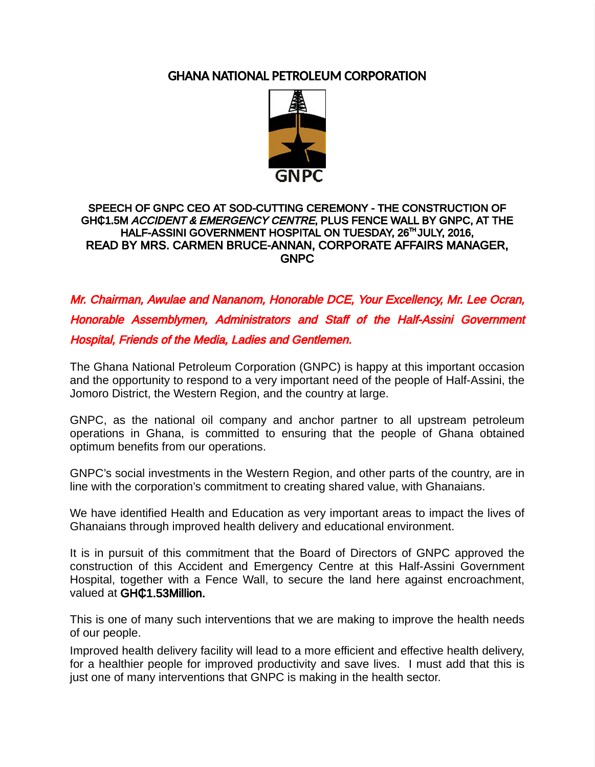# GHANA NATIONAL PETROLEUM CORPORATION



# SPEECH OF GNPC CEO AT SOD-CUTTING CEREMONY - THE CONSTRUCTION OF GHQ1.5M *ACCIDENT & EMERGENCY CENTRE*, PLUS FENCE WALL BY GNPC, AT THE HALF-ASSINI GOVERNMENT HOSPITAL ON TUESDAY, 26<sup>TH</sup> JULY, 2016. READ BY MRS. CARMEN BRUCE-ANNAN, CORPORATE AFFAIRS MANAGER, GNPC

Mr. Chairman, Awulae and Nananom, Honorable DCE, Your Excellency, Mr. Lee Ocran, Honorable Assemblymen, Administrators and Staff of the Half-Assini Government Hospital, Friends of the Media, Ladies and Gentlemen.

The Ghana National Petroleum Corporation (GNPC) is happy at this important occasion and the opportunity to respond to a very important need of the people of Half-Assini, the Jomoro District, the Western Region, and the country at large.

GNPC, as the national oil company and anchor partner to all upstream petroleum operations in Ghana, is committed to ensuring that the people of Ghana obtained optimum benefits from our operations.

GNPC's social investments in the Western Region, and other parts of the country, are in line with the corporation's commitment to creating shared value, with Ghanaians.

We have identified Health and Education as very important areas to impact the lives of Ghanaians through improved health delivery and educational environment.

It is in pursuit of this commitment that the Board of Directors of GNPC approved the construction of this Accident and Emergency Centre at this Half-Assini Government Hospital, together with a Fence Wall, to secure the land here against encroachment, valued at GHC1.53Million.

This is one of many such interventions that we are making to improve the health needs of our people.

Improved health delivery facility will lead to a more efficient and effective health delivery, for a healthier people for improved productivity and save lives. I must add that this is just one of many interventions that GNPC is making in the health sector.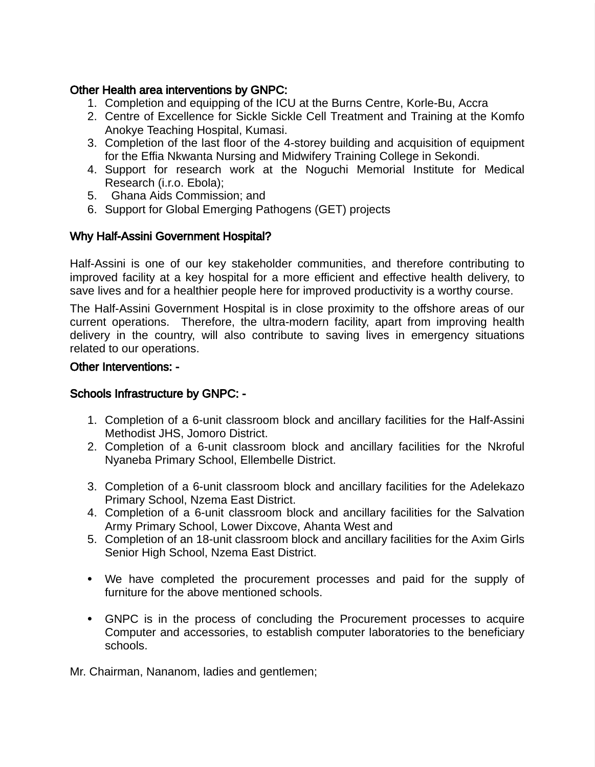## Other Health area interventions by GNPC:

- 1. Completion and equipping of the ICU at the Burns Centre, Korle-Bu, Accra
- 2. Centre of Excellence for Sickle Sickle Cell Treatment and Training at the Komfo Anokye Teaching Hospital, Kumasi.
- 3. Completion of the last floor of the 4-storey building and acquisition of equipment for the Effia Nkwanta Nursing and Midwifery Training College in Sekondi.
- 4. Support for research work at the Noguchi Memorial Institute for Medical Research (i.r.o. Ebola);
- 5. Ghana Aids Commission; and
- 6. Support for Global Emerging Pathogens (GET) projects

### Why Half-Assini Government Hospital?

Half-Assini is one of our key stakeholder communities, and therefore contributing to improved facility at a key hospital for a more efficient and effective health delivery, to save lives and for a healthier people here for improved productivity is a worthy course.

The Half-Assini Government Hospital is in close proximity to the offshore areas of our current operations. Therefore, the ultra-modern facility, apart from improving health delivery in the country, will also contribute to saving lives in emergency situations related to our operations.

#### Other Interventions: -

#### Schools Infrastructure by GNPC: -

- 1. Completion of a 6-unit classroom block and ancillary facilities for the Half-Assini Methodist JHS, Jomoro District.
- 2. Completion of a 6-unit classroom block and ancillary facilities for the Nkroful Nyaneba Primary School, Ellembelle District.
- 3. Completion of a 6-unit classroom block and ancillary facilities for the Adelekazo Primary School, Nzema East District.
- 4. Completion of a 6-unit classroom block and ancillary facilities for the Salvation Army Primary School, Lower Dixcove, Ahanta West and
- 5. Completion of an 18-unit classroom block and ancillary facilities for the Axim Girls Senior High School, Nzema East District.
- ⦁ We have completed the procurement processes and paid for the supply of furniture for the above mentioned schools.
- ⦁ GNPC is in the process of concluding the Procurement processes to acquire Computer and accessories, to establish computer laboratories to the beneficiary schools.

Mr. Chairman, Nananom, ladies and gentlemen;